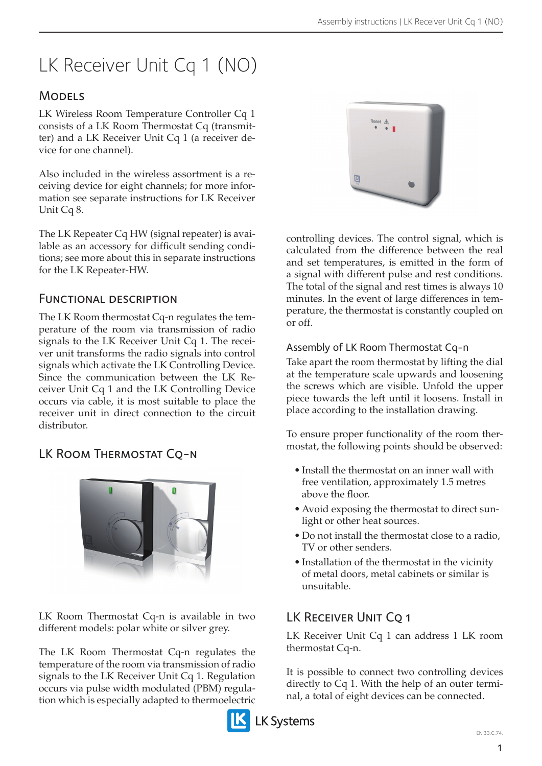# LK Receiver Unit Cq 1 (NO)

## **MODELS**

LK Wireless Room Temperature Controller Cq 1 consists of a LK Room Thermostat Cq (transmitter) and a LK Receiver Unit Cq 1 (a receiver device for one channel).

Also included in the wireless assortment is a receiving device for eight channels; for more information see separate instructions for LK Receiver Unit Cq 8.

The LK Repeater Cq HW (signal repeater) is available as an accessory for difficult sending conditions; see more about this in separate instructions for the LK Repeater-HW.

### Functional description

The LK Room thermostat Cq-n regulates the temperature of the room via transmission of radio signals to the LK Receiver Unit Cq 1. The receiver unit transforms the radio signals into control signals which activate the LK Controlling Device. Since the communication between the LK Receiver Unit Cq 1 and the LK Controlling Device occurs via cable, it is most suitable to place the receiver unit in direct connection to the circuit distributor.

# LK ROOM THERMOSTAT CQ-N



LK Room Thermostat Cq-n is available in two different models: polar white or silver grey.

The LK Room Thermostat Cq-n regulates the temperature of the room via transmission of radio signals to the LK Receiver Unit Cq 1. Regulation occurs via pulse width modulated (PBM) regulation which is especially adapted to thermoelectric



controlling devices. The control signal, which is calculated from the difference between the real and set temperatures, is emitted in the form of a signal with different pulse and rest conditions. The total of the signal and rest times is always 10 minutes. In the event of large differences in temperature, the thermostat is constantly coupled on or off.

#### Assembly of LK Room Thermostat Cq-n

Take apart the room thermostat by lifting the dial at the temperature scale upwards and loosening the screws which are visible. Unfold the upper piece towards the left until it loosens. Install in place according to the installation drawing.

To ensure proper functionality of the room thermostat, the following points should be observed:

- Install the thermostat on an inner wall with free ventilation, approximately 1.5 metres above the floor.
- Avoid exposing the thermostat to direct sunlight or other heat sources.
- Do not install the thermostat close to a radio, TV or other senders.
- • Installation of the thermostat in the vicinity of metal doors, metal cabinets or similar is unsuitable.

# LK RECEIVER UNIT CO 1

LK Receiver Unit Cq 1 can address 1 LK room thermostat Cq-n.

It is possible to connect two controlling devices directly to Cq 1. With the help of an outer terminal, a total of eight devices can be connected.

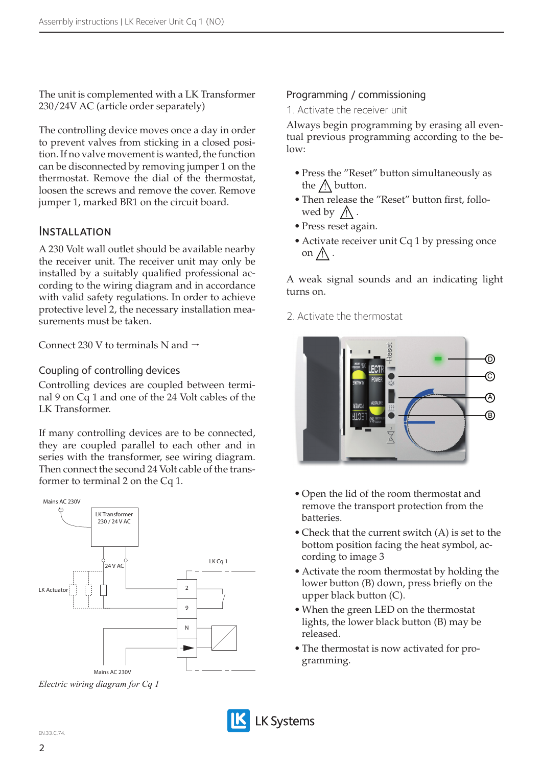The unit is complemented with a LK Transformer 230/24V AC (article order separately)

The controlling device moves once a day in order to prevent valves from sticking in a closed position. If no valve movement is wanted, the function can be disconnected by removing jumper 1 on the thermostat. Remove the dial of the thermostat, loosen the screws and remove the cover. Remove jumper 1, marked BR1 on the circuit board.

#### **INSTALLATION**

A 230 Volt wall outlet should be available nearby the receiver unit. The receiver unit may only be installed by a suitably qualified professional according to the wiring diagram and in accordance with valid safety regulations. In order to achieve protective level 2, the necessary installation measurements must be taken.

Connect 230 V to terminals N and  $\rightarrow$ 

Coupling of controlling devices

Controlling devices are coupled between terminal 9 on Cq 1 and one of the 24 Volt cables of the LK Transformer.

If many controlling devices are to be connected, they are coupled parallel to each other and in series with the transformer, see wiring diagram. Then connect the second 24 Volt cable of the transformer to terminal 2 on the Cq 1.



*Electric wiring diagram for Cq 1*

#### Programming / commissioning

1. Activate the receiver unit

Always begin programming by erasing all eventual previous programming according to the be $low:$ 

- • Press the "Reset" button simultaneously as the  $\Lambda$  button.
- Then release the "Reset" button first, followed by  $\bigwedge$ .
- • Press reset again.
- Activate receiver unit Cq 1 by pressing once on  $\bigwedge$ .

A weak signal sounds and an indicating light turns on.

2. Activate the thermostat



- • Open the lid of the room thermostat and remove the transport protection from the batteries.
- Check that the current switch (A) is set to the bottom position facing the heat symbol, according to image 3
- Activate the room thermostat by holding the lower button (B) down, press briefly on the upper black button (C).
- When the green LED on the thermostat lights, the lower black button (B) may be released.
- The thermostat is now activated for programming.

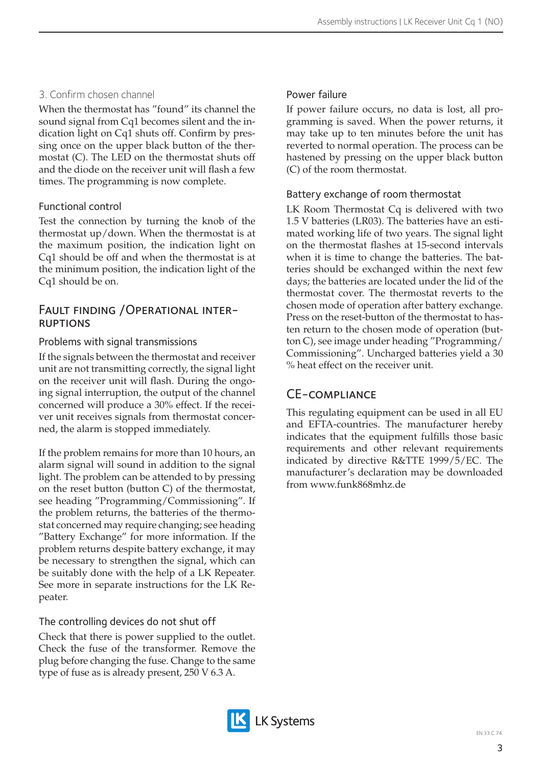# 3. Confirm chosen channel

When the thermostat has "found" its channel the sound signal from Cq1 becomes silent and the indication light on Cq1 shuts off. Confirm by pressing once on the upper black button of the thermostat (C). The LED on the thermostat shuts off and the diode on the receiver unit will flash a few times. The programming is now complete.

## Functional control

Test the connection by turning the knob of the thermostat up/down. When the thermostat is at the maximum position, the indication light on Cq1 should be off and when the thermostat is at the minimum position, the indication light of the Cq1 should be on.

# Fault finding /Operational inter- ruptions

### Problems with signal transmissions

If the signals between the thermostat and receiver unit are not transmitting correctly, the signal light on the receiver unit will flash. During the ongoing signal interruption, the output of the channel concerned will produce a 30% effect. If the receiver unit receives signals from thermostat concerned, the alarm is stopped immediately.

If the problem remains for more than 10 hours, an alarm signal will sound in addition to the signal light. The problem can be attended to by pressing on the reset button (button C) of the thermostat, see heading "Programming/Commissioning". If the problem returns, the batteries of the thermostat concerned may require changing; see heading "Battery Exchange" for more information. If the problem returns despite battery exchange, it may be necessary to strengthen the signal, which can be suitably done with the help of a LK Repeater. See more in separate instructions for the LK Repeater.

## The controlling devices do not shut off

Check that there is power supplied to the outlet. Check the fuse of the transformer. Remove the plug before changing the fuse. Change to the same type of fuse as is already present, 250 V 6.3 A.

## Power failure

If power failure occurs, no data is lost, all programming is saved. When the power returns, it may take up to ten minutes before the unit has reverted to normal operation. The process can be hastened by pressing on the upper black button (C) of the room thermostat.

### Battery exchange of room thermostat

LK Room Thermostat Cq is delivered with two 1.5 V batteries (LR03). The batteries have an estimated working life of two years. The signal light on the thermostat flashes at 15-second intervals when it is time to change the batteries. The batteries should be exchanged within the next few days; the batteries are located under the lid of the thermostat cover. The thermostat reverts to the chosen mode of operation after battery exchange. Press on the reset-button of the thermostat to hasten return to the chosen mode of operation (button C), see image under heading "Programming/ Commissioning". Uncharged batteries yield a 30 % heat effect on the receiver unit.

## CE-compliance

This regulating equipment can be used in all EU and EFTA-countries. The manufacturer hereby indicates that the equipment fulfills those basic requirements and other relevant requirements indicated by directive R&TTE 1999/5/EC. The manufacturer's declaration may be downloaded from www.funk868mhz.de